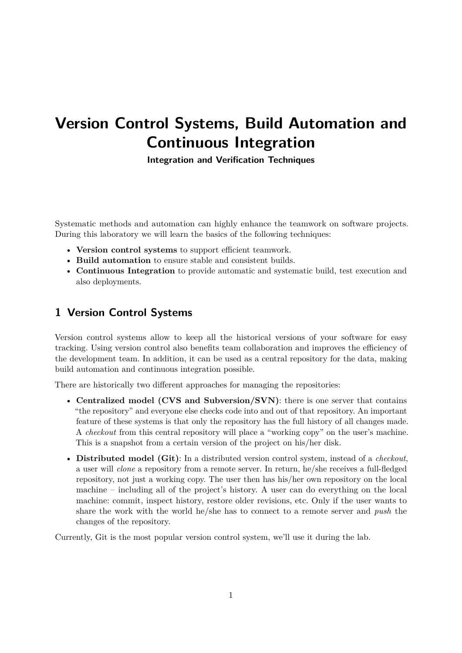# **Version Control Systems, Build Automation and Continuous Integration**

**Integration and Verification Techniques**

Systematic methods and automation can highly enhance the teamwork on software projects. During this laboratory we will learn the basics of the following techniques:

- **Version control systems** to support efficient teamwork.
- **Build automation** to ensure stable and consistent builds.
- **Continuous Integration** to provide automatic and systematic build, test execution and also deployments.

## **1 Version Control Systems**

Version control systems allow to keep all the historical versions of your software for easy tracking. Using version control also benefits team collaboration and improves the efficiency of the development team. In addition, it can be used as a central repository for the data, making build automation and continuous integration possible.

There are historically two different approaches for managing the repositories:

- **Centralized model (CVS and Subversion/SVN)**: there is one server that contains "the repository" and everyone else checks code into and out of that repository. An important feature of these systems is that only the repository has the full history of all changes made. A *checkout* from this central repository will place a "working copy" on the user's machine. This is a snapshot from a certain version of the project on his/her disk.
- **Distributed model (Git)**: In a distributed version control system, instead of a *checkout*, a user will *clone* a repository from a remote server. In return, he/she receives a full-fledged repository, not just a working copy. The user then has his/her own repository on the local machine – including all of the project's history. A user can do everything on the local machine: commit, inspect history, restore older revisions, etc. Only if the user wants to share the work with the world he/she has to connect to a remote server and *push* the changes of the repository.

Currently, Git is the most popular version control system, we'll use it during the lab.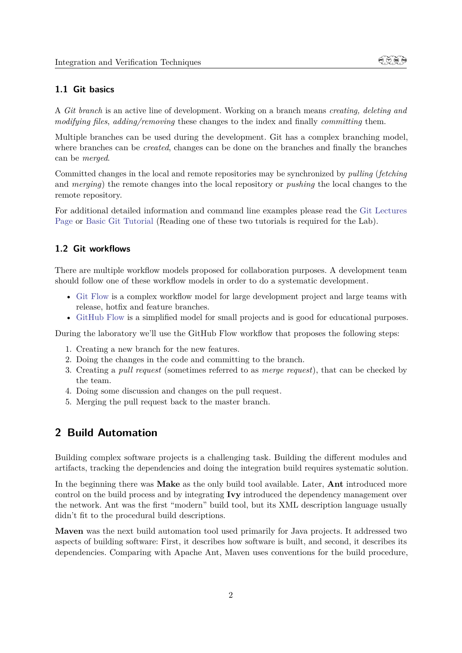## **1.1 Git basics**

A *Git branch* is an active line of development. Working on a branch means *creating, deleting and modifying files*, *adding/removing* these changes to the index and finally *committing* them.

Multiple branches can be used during the development. Git has a complex branching model, where branches can be *created*, changes can be done on the branches and finally the branches can be *merged*.

Committed changes in the local and remote repositories may be synchronized by *pulling* (*fetching* and *merging*) the remote changes into the local repository or *pushing* the local changes to the remote repository.

For additional detailed information and command line examples please read the [Git Lectures](http://git-lectures.github.io/) [Page](http://git-lectures.github.io/) or [Basic Git Tutorial](https://try.github.io/) (Reading one of these two tutorials is required for the Lab).

#### **1.2 Git workflows**

There are multiple workflow models proposed for collaboration purposes. A development team should follow one of these workflow models in order to do a systematic development.

- [Git Flow](http://nvie.com/posts/a-successful-git-branching-model/) is a complex workflow model for large development project and large teams with release, hotfix and feature branches.
- [GitHub Flow](https://guides.github.com/introduction/flow/) is a simplified model for small projects and is good for educational purposes.

During the laboratory we'll use the GitHub Flow workflow that proposes the following steps:

- 1. Creating a new branch for the new features.
- 2. Doing the changes in the code and committing to the branch.
- 3. Creating a *pull request* (sometimes referred to as *merge request*), that can be checked by the team.
- 4. Doing some discussion and changes on the pull request.
- 5. Merging the pull request back to the master branch.

## **2 Build Automation**

Building complex software projects is a challenging task. Building the different modules and artifacts, tracking the dependencies and doing the integration build requires systematic solution.

In the beginning there was **Make** as the only build tool available. Later, **Ant** introduced more control on the build process and by integrating **Ivy** introduced the dependency management over the network. Ant was the first "modern" build tool, but its XML description language usually didn't fit to the procedural build descriptions.

**Maven** was the next build automation tool used primarily for Java projects. It addressed two aspects of building software: First, it describes how software is built, and second, it describes its dependencies. Comparing with Apache Ant, Maven uses conventions for the build procedure,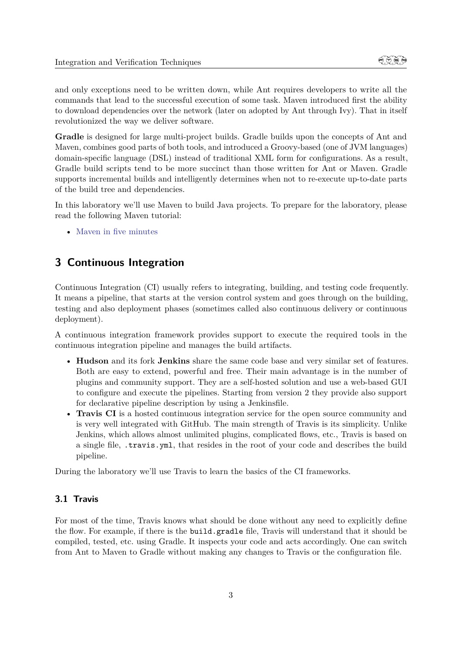and only exceptions need to be written down, while Ant requires developers to write all the commands that lead to the successful execution of some task. Maven introduced first the ability to download dependencies over the network (later on adopted by Ant through Ivy). That in itself revolutionized the way we deliver software.

**Gradle** is designed for large multi-project builds. Gradle builds upon the concepts of Ant and Maven, combines good parts of both tools, and introduced a Groovy-based (one of JVM languages) domain-specific language (DSL) instead of traditional XML form for configurations. As a result, Gradle build scripts tend to be more succinct than those written for Ant or Maven. Gradle supports incremental builds and intelligently determines when not to re-execute up-to-date parts of the build tree and dependencies.

In this laboratory we'll use Maven to build Java projects. To prepare for the laboratory, please read the following Maven tutorial:

• [Maven in five minutes](http://maven.apache.org/guides/getting-started/maven-in-five-minutes.html)

## **3 Continuous Integration**

Continuous Integration (CI) usually refers to integrating, building, and testing code frequently. It means a pipeline, that starts at the version control system and goes through on the building, testing and also deployment phases (sometimes called also continuous delivery or continuous deployment).

A continuous integration framework provides support to execute the required tools in the continuous integration pipeline and manages the build artifacts.

- **Hudson** and its fork **Jenkins** share the same code base and very similar set of features. Both are easy to extend, powerful and free. Their main advantage is in the number of plugins and community support. They are a self-hosted solution and use a web-based GUI to configure and execute the pipelines. Starting from version 2 they provide also support for declarative pipeline description by using a Jenkinsfile.
- **Travis CI** is a hosted continuous integration service for the open source community and is very well integrated with GitHub. The main strength of Travis is its simplicity. Unlike Jenkins, which allows almost unlimited plugins, complicated flows, etc., Travis is based on a single file, .travis.yml, that resides in the root of your code and describes the build pipeline.

During the laboratory we'll use Travis to learn the basics of the CI frameworks.

#### **3.1 Travis**

For most of the time, Travis knows what should be done without any need to explicitly define the flow. For example, if there is the build.gradle file, Travis will understand that it should be compiled, tested, etc. using Gradle. It inspects your code and acts accordingly. One can switch from Ant to Maven to Gradle without making any changes to Travis or the configuration file.